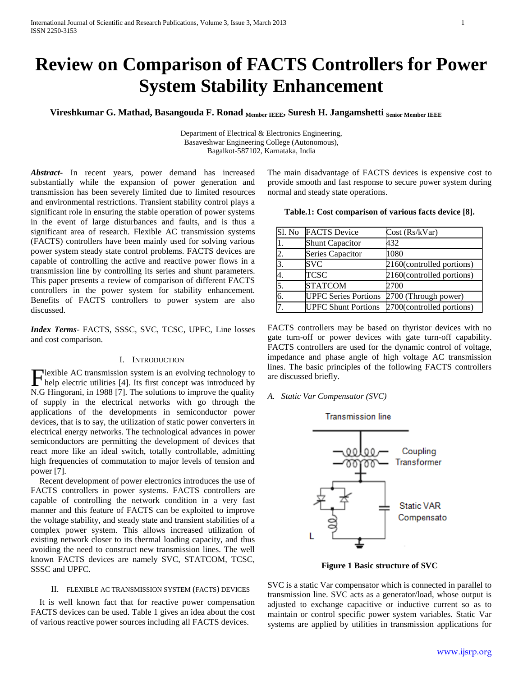# **Review on Comparison of FACTS Controllers for Power System Stability Enhancement**

**Vireshkumar G. Mathad, Basangouda F. Ronad Member IEEE, Suresh H. Jangamshetti Senior Member IEEE**

Department of Electrical & Electronics Engineering, Basaveshwar Engineering College (Autonomous), Bagalkot-587102, Karnataka, India

*Abstract***-** In recent years, power demand has increased substantially while the expansion of power generation and transmission has been severely limited due to limited resources and environmental restrictions. Transient stability control plays a significant role in ensuring the stable operation of power systems in the event of large disturbances and faults, and is thus a significant area of research. Flexible AC transmission systems (FACTS) controllers have been mainly used for solving various power system steady state control problems. FACTS devices are capable of controlling the active and reactive power flows in a transmission line by controlling its series and shunt parameters. This paper presents a review of comparison of different FACTS controllers in the power system for stability enhancement. Benefits of FACTS controllers to power system are also discussed.

*Index Terms*- FACTS, SSSC, SVC, TCSC, UPFC, Line losses and cost comparison.

#### I. INTRODUCTION

**T**lexible AC transmission system is an evolving technology to Hexible AC transmission system is an evolving technology to<br>help electric utilities [4]. Its first concept was introduced by N.G Hingorani, in 1988 [7]. The solutions to improve the quality of supply in the electrical networks with go through the applications of the developments in semiconductor power devices, that is to say, the utilization of static power converters in electrical energy networks. The technological advances in power semiconductors are permitting the development of devices that react more like an ideal switch, totally controllable, admitting high frequencies of commutation to major levels of tension and power [7].

 Recent development of power electronics introduces the use of FACTS controllers in power systems. FACTS controllers are capable of controlling the network condition in a very fast manner and this feature of FACTS can be exploited to improve the voltage stability, and steady state and transient stabilities of a complex power system. This allows increased utilization of existing network closer to its thermal loading capacity, and thus avoiding the need to construct new transmission lines. The well known FACTS devices are namely SVC, STATCOM, TCSC, SSSC and UPFC.

## II. FLEXIBLE AC TRANSMISSION SYSTEM (FACTS) DEVICES

 It is well known fact that for reactive power compensation FACTS devices can be used. Table 1 gives an idea about the cost of various reactive power sources including all FACTS devices.

The main disadvantage of FACTS devices is expensive cost to provide smooth and fast response to secure power system during normal and steady state operations.

|  |  | Table.1: Cost comparison of various facts device [8]. |  |  |  |  |  |  |
|--|--|-------------------------------------------------------|--|--|--|--|--|--|
|--|--|-------------------------------------------------------|--|--|--|--|--|--|

| Sl. No | <b>FACTS</b> Device         | Cost (Rs/kVar)            |
|--------|-----------------------------|---------------------------|
|        | <b>Shunt Capacitor</b>      | 432                       |
| 2.     | Series Capacitor            | 1080                      |
| 3      | <b>SVC</b>                  | 2160(controlled portions) |
|        | TCSC                        | 2160(controlled portions) |
| 5      | <b>STATCOM</b>              | 2700                      |
| 6      | <b>UPFC Series Portions</b> | 2700 (Through power)      |
|        | <b>UPFC Shunt Portions</b>  | 2700(controlled portions) |

FACTS controllers may be based on thyristor devices with no gate turn-off or power devices with gate turn-off capability. FACTS controllers are used for the dynamic control of voltage, impedance and phase angle of high voltage AC transmission lines. The basic principles of the following FACTS controllers are discussed briefly.

*A. Static Var Compensator (SVC)*

#### **Transmission line**



**Figure 1 Basic structure of SVC**

SVC is a static Var compensator which is connected in parallel to transmission line. SVC acts as a generator/load, whose output is adjusted to exchange capacitive or inductive current so as to maintain or control specific power system variables. Static Var systems are applied by utilities in transmission applications for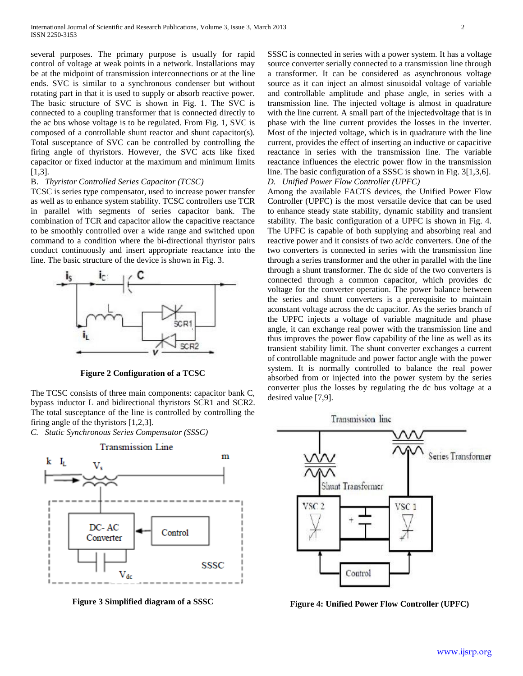several purposes. The primary purpose is usually for rapid control of voltage at weak points in a network. Installations may be at the midpoint of transmission interconnections or at the line ends. SVC is similar to a synchronous condenser but without rotating part in that it is used to supply or absorb reactive power. The basic structure of SVC is shown in Fig. 1. The SVC is connected to a coupling transformer that is connected directly to the ac bus whose voltage is to be regulated. From Fig. 1, SVC is composed of a controllable shunt reactor and shunt capacitor(s). Total susceptance of SVC can be controlled by controlling the firing angle of thyristors. However, the SVC acts like fixed capacitor or fixed inductor at the maximum and minimum limits [1,3].

## B. *Thyristor Controlled Series Capacitor (TCSC)*

TCSC is series type compensator, used to increase power transfer as well as to enhance system stability. TCSC controllers use TCR in parallel with segments of series capacitor bank. The combination of TCR and capacitor allow the capacitive reactance to be smoothly controlled over a wide range and switched upon command to a condition where the bi-directional thyristor pairs conduct continuously and insert appropriate reactance into the line. The basic structure of the device is shown in Fig. 3.



**Figure 2 Configuration of a TCSC**

The TCSC consists of three main components: capacitor bank C, bypass inductor L and bidirectional thyristors SCR1 and SCR2. The total susceptance of the line is controlled by controlling the firing angle of the thyristors [1,2,3].

*C. Static Synchronous Series Compensator (SSSC)*



**Figure 3 Simplified diagram of a SSSC**

SSSC is connected in series with a power system. It has a voltage source converter serially connected to a transmission line through a transformer. It can be considered as asynchronous voltage source as it can inject an almost sinusoidal voltage of variable and controllable amplitude and phase angle, in series with a transmission line. The injected voltage is almost in quadrature with the line current. A small part of the injectedvoltage that is in phase with the line current provides the losses in the inverter. Most of the injected voltage, which is in quadrature with the line current, provides the effect of inserting an inductive or capacitive reactance in series with the transmission line. The variable reactance influences the electric power flow in the transmission line. The basic configuration of a SSSC is shown in Fig. 3[1,3,6]. *D. Unified Power Flow Controller (UPFC)*

Among the available FACTS devices, the Unified Power Flow Controller (UPFC) is the most versatile device that can be used to enhance steady state stability, dynamic stability and transient stability. The basic configuration of a UPFC is shown in Fig. 4. The UPFC is capable of both supplying and absorbing real and reactive power and it consists of two ac/dc converters. One of the two converters is connected in series with the transmission line through a series transformer and the other in parallel with the line through a shunt transformer. The dc side of the two converters is connected through a common capacitor, which provides dc voltage for the converter operation. The power balance between the series and shunt converters is a prerequisite to maintain aconstant voltage across the dc capacitor. As the series branch of the UPFC injects a voltage of variable magnitude and phase angle, it can exchange real power with the transmission line and thus improves the power flow capability of the line as well as its transient stability limit. The shunt converter exchanges a current of controllable magnitude and power factor angle with the power system. It is normally controlled to balance the real power absorbed from or injected into the power system by the series converter plus the losses by regulating the dc bus voltage at a desired value [7,9].





**Figure 4: Unified Power Flow Controller (UPFC)**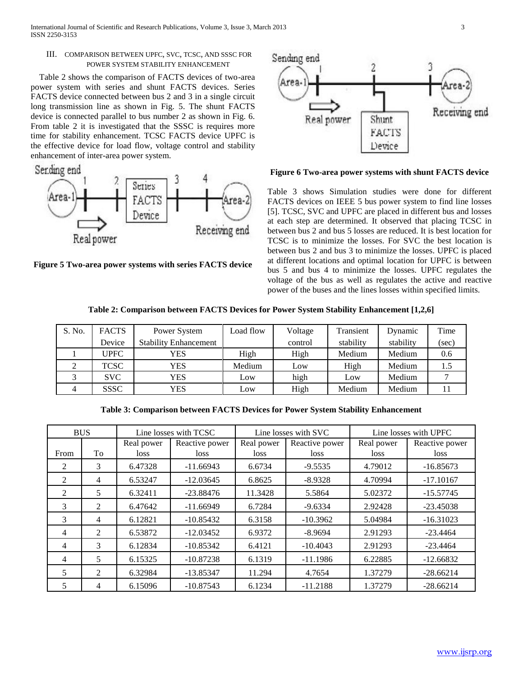International Journal of Scientific and Research Publications, Volume 3, Issue 3, March 2013 3 ISSN 2250-3153

## III. COMPARISON BETWEEN UPFC, SVC, TCSC, AND SSSC FOR POWER SYSTEM STABILITY ENHANCEMENT

 Table 2 shows the comparison of FACTS devices of two-area power system with series and shunt FACTS devices. Series FACTS device connected between bus 2 and 3 in a single circuit long transmission line as shown in Fig. 5. The shunt FACTS device is connected parallel to bus number 2 as shown in Fig. 6. From table 2 it is investigated that the SSSC is requires more time for stability enhancement. TCSC FACTS device UPFC is the effective device for load flow, voltage control and stability enhancement of inter-area power system.



**Figure 5 Two-area power systems with series FACTS device**



### **Figure 6 Two-area power systems with shunt FACTS device**

Table 3 shows Simulation studies were done for different FACTS devices on IEEE 5 bus power system to find line losses [5]. TCSC, SVC and UPFC are placed in different bus and losses at each step are determined. It observed that placing TCSC in between bus 2 and bus 5 losses are reduced. It is best location for TCSC is to minimize the losses. For SVC the best location is between bus 2 and bus 3 to minimize the losses. UPFC is placed at different locations and optimal location for UPFC is between bus 5 and bus 4 to minimize the losses. UPFC regulates the voltage of the bus as well as regulates the active and reactive power of the buses and the lines losses within specified limits.

**Table 2: Comparison between FACTS Devices for Power System Stability Enhancement [1,2,6]**

| S. No. | <b>FACTS</b> | Power System                 | Load flow | Voltage | Transient | Dynamic   | Time  |
|--------|--------------|------------------------------|-----------|---------|-----------|-----------|-------|
|        | Device       | <b>Stability Enhancement</b> |           | control | stability | stability | (sec) |
|        | <b>UPFC</b>  | YES                          | High      | High    | Medium    | Medium    | 0.6   |
|        | <b>TCSC</b>  | YES                          | Medium    | Low     | High      | Medium    | 1.5   |
|        | SVC          | YES                          | Low       | high    | Low       | Medium    |       |
|        | <b>SSSC</b>  | YES                          | Low       | High    | Medium    | Medium    |       |

**Table 3: Comparison between FACTS Devices for Power System Stability Enhancement**

|               | <b>BUS</b>     | Line losses with TCSC |                        | Line losses with SVC |                        | Line losses with UPFC |                        |
|---------------|----------------|-----------------------|------------------------|----------------------|------------------------|-----------------------|------------------------|
| From          | To             | Real power<br>loss    | Reactive power<br>loss | Real power<br>loss   | Reactive power<br>loss | Real power<br>loss    | Reactive power<br>loss |
| 2             | $\mathcal{F}$  | 6.47328               | $-11.66943$            | 6.6734               | $-9.5535$              | 4.79012               | $-16.85673$            |
| 2             | 4              | 6.53247               | $-12.03645$            | 6.8625               | $-8.9328$              | 4.70994               | $-17.10167$            |
| 2             | 5              | 6.32411               | $-23.88476$            | 11.3428              | 5.5864                 | 5.02372               | $-15.57745$            |
| $\mathcal{F}$ | 2              | 6.47642               | $-11.66949$            | 6.7284               | $-9.6334$              | 2.92428               | $-23.45038$            |
| 3             | 4              | 6.12821               | $-10.85432$            | 6.3158               | $-10.3962$             | 5.04984               | $-16.31023$            |
| 4             | $\mathfrak{D}$ | 6.53872               | $-12.03452$            | 6.9372               | $-8.9694$              | 2.91293               | $-23.4464$             |
| 4             | $\mathcal{F}$  | 6.12834               | $-10.85342$            | 6.4121               | $-10.4043$             | 2.91293               | $-23.4464$             |
| 4             | 5              | 6.15325               | $-10.87238$            | 6.1319               | $-11.1986$             | 6.22885               | $-12.66832$            |
| 5             | $\mathfrak{D}$ | 6.32984               | $-13.85347$            | 11.294               | 4.7654                 | 1.37279               | $-28.66214$            |
| 5             | 4              | 6.15096               | $-10.87543$            | 6.1234               | $-11.2188$             | 1.37279               | $-28.66214$            |